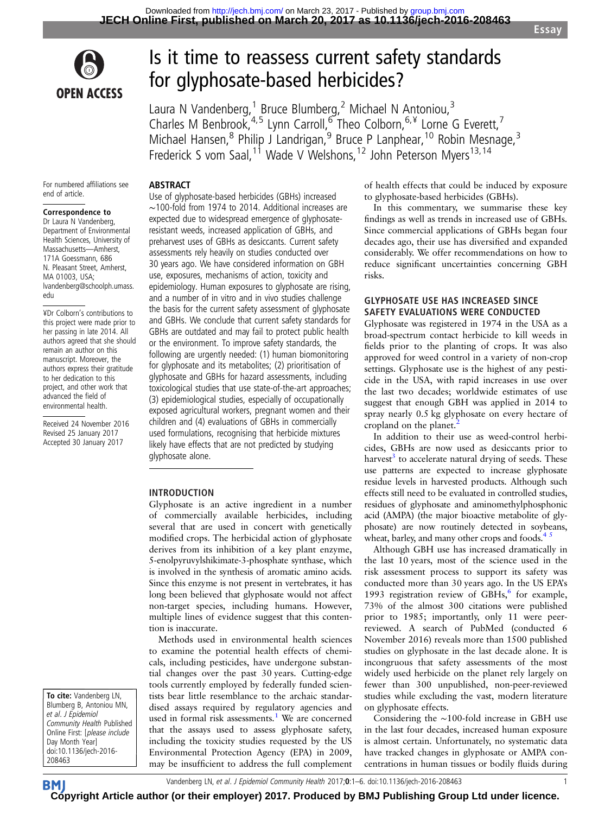

# Is it time to reassess current safety standards for glyphosate-based herbicides?

Laura N Vandenberg,<sup>1</sup> Bruce Blumberg,<sup>2</sup> Michael N Antoniou,<sup>3</sup> Charles M Benbrook,<sup>4,5</sup> Lynn Carroll,<sup>6</sup> Theo Colborn,<sup>6,¥</sup> Lorne G Everett,<sup>7</sup> Michael Hansen,<sup>8</sup> Philip J Landrigan,<sup>9</sup> Bruce P Lanphear,<sup>10</sup> Robin Mesnage,<sup>3</sup> Frederick S vom Saal,<sup>11</sup> Wade V Welshons,<sup>12</sup> John Peterson Myers<sup>13,14</sup>

For numbered affiliations see end of article.

### Correspondence to

Dr Laura N Vandenberg, Department of Environmental Health Sciences, University of Massachusetts—Amherst, 171A Goessmann, 686 N. Pleasant Street, Amherst, MA 01003, USA; lvandenberg@schoolph.umass. edu

¥Dr Colborn's contributions to this project were made prior to her passing in late 2014. All authors agreed that she should remain an author on this manuscript. Moreover, the authors express their gratitude to her dedication to this project, and other work that advanced the field of environmental health.

Received 24 November 2016 Revised 25 January 2017 Accepted 30 January 2017

Use of glyphosate-based herbicides (GBHs) increased ∼100-fold from 1974 to 2014. Additional increases are expected due to widespread emergence of glyphosateresistant weeds, increased application of GBHs, and preharvest uses of GBHs as desiccants. Current safety assessments rely heavily on studies conducted over 30 years ago. We have considered information on GBH use, exposures, mechanisms of action, toxicity and epidemiology. Human exposures to glyphosate are rising, and a number of in vitro and in vivo studies challenge the basis for the current safety assessment of glyphosate and GBHs. We conclude that current safety standards for GBHs are outdated and may fail to protect public health or the environment. To improve safety standards, the following are urgently needed: (1) human biomonitoring for glyphosate and its metabolites; (2) prioritisation of glyphosate and GBHs for hazard assessments, including toxicological studies that use state-of-the-art approaches; (3) epidemiological studies, especially of occupationally exposed agricultural workers, pregnant women and their children and (4) evaluations of GBHs in commercially used formulations, recognising that herbicide mixtures likely have effects that are not predicted by studying glyphosate alone.

## INTRODUCTION

ABSTRACT

Glyphosate is an active ingredient in a number of commercially available herbicides, including several that are used in concert with genetically modified crops. The herbicidal action of glyphosate derives from its inhibition of a key plant enzyme, 5-enolpyruvylshikimate-3-phosphate synthase, which is involved in the synthesis of aromatic amino acids. Since this enzyme is not present in vertebrates, it has long been believed that glyphosate would not affect non-target species, including humans. However, multiple lines of evidence suggest that this contention is inaccurate.

Methods used in environmental health sciences to examine the potential health effects of chemicals, including pesticides, have undergone substantial changes over the past 30 years. Cutting-edge tools currently employed by federally funded scientists bear little resemblance to the archaic standardised assays required by regulatory agencies and used in formal risk assessments.<sup>[1](#page-4-0)</sup> We are concerned that the assays used to assess glyphosate safety, including the toxicity studies requested by the US Environmental Protection Agency (EPA) in 2009, may be insufficient to address the full complement of health effects that could be induced by exposure to glyphosate-based herbicides (GBHs).

In this commentary, we summarise these key findings as well as trends in increased use of GBHs. Since commercial applications of GBHs began four decades ago, their use has diversified and expanded considerably. We offer recommendations on how to reduce significant uncertainties concerning GBH risks.

## GLYPHOSATE USE HAS INCREASED SINCE SAFETY EVALUATIONS WERE CONDUCTED

Glyphosate was registered in 1974 in the USA as a broad-spectrum contact herbicide to kill weeds in fields prior to the planting of crops. It was also approved for weed control in a variety of non-crop settings. Glyphosate use is the highest of any pesticide in the USA, with rapid increases in use over the last two decades; worldwide estimates of use suggest that enough GBH was applied in 2014 to spray nearly 0.5 kg glyphosate on every hectare of cropland on the planet.<sup>[2](#page-4-0)</sup>

In addition to their use as weed-control herbicides, GBHs are now used as desiccants prior to harvest<sup>3</sup> to accelerate natural drying of seeds. These use patterns are expected to increase glyphosate residue levels in harvested products. Although such effects still need to be evaluated in controlled studies, residues of glyphosate and aminomethylphosphonic acid (AMPA) (the major bioactive metabolite of glyphosate) are now routinely detected in soybeans, wheat, barley, and many other crops and foods. $4<sup>5</sup>$ 

Although GBH use has increased dramatically in the last 10 years, most of the science used in the risk assessment process to support its safety was conducted more than 30 years ago. In the US EPA's 1993 registration review of GBHs, $6$  for example, 73% of the almost 300 citations were published prior to 1985; importantly, only 11 were peerreviewed. A search of PubMed (conducted 6 November 2016) reveals more than 1500 published studies on glyphosate in the last decade alone. It is incongruous that safety assessments of the most widely used herbicide on the planet rely largely on fewer than 300 unpublished, non-peer-reviewed studies while excluding the vast, modern literature on glyphosate effects.

Considering the ∼100-fold increase in GBH use in the last four decades, increased human exposure is almost certain. Unfortunately, no systematic data have tracked changes in glyphosate or AMPA concentrations in human tissues or bodily fluids during

To cite: Vandenberg LN, Blumberg B, Antoniou MN, et al. J Epidemiol Community Health Published Online First: [please include Day Month Year] doi:10.1136/jech-2016- 208463

Vandenberg LN, et al. J Epidemiol Community Health 2017;0:1–6. doi:10.1136/jech-2016-208463 1

**BM [Cop](http://jech.bmj.com)yright Article author (or their employer) 2017. Produced by BMJ Publishing Group Ltd under licence.**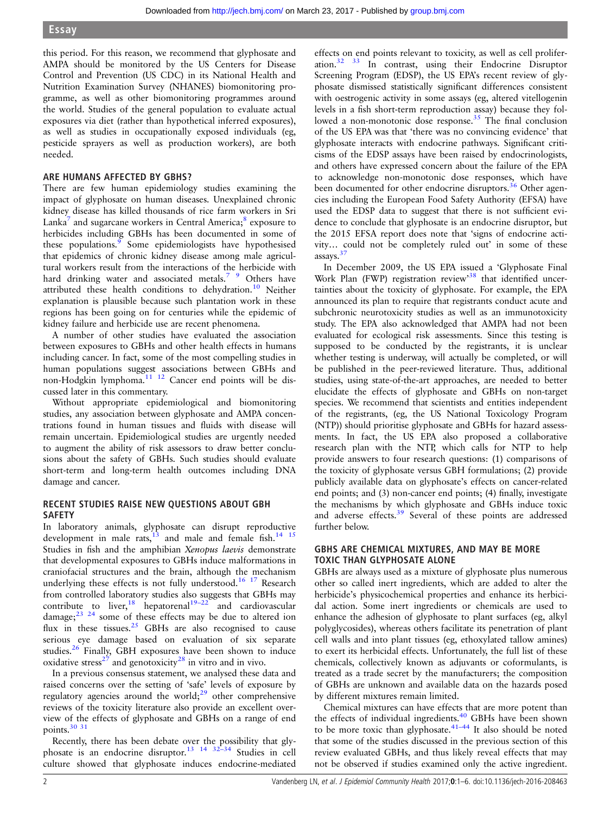this period. For this reason, we recommend that glyphosate and AMPA should be monitored by the US Centers for Disease Control and Prevention (US CDC) in its National Health and Nutrition Examination Survey (NHANES) biomonitoring programme, as well as other biomonitoring programmes around the world. Studies of the general population to evaluate actual exposures via diet (rather than hypothetical inferred exposures), as well as studies in occupationally exposed individuals (eg, pesticide sprayers as well as production workers), are both needed.

## ARE HUMANS AFFECTED BY GBHS?

There are few human epidemiology studies examining the impact of glyphosate on human diseases. Unexplained chronic kidney disease has killed thousands of rice farm workers in Sri Lanka<sup>7</sup> and sugarcane workers in Central America; $\frac{8}{3}$  exposure to herbicides including GBHs has been documented in some of these populations.<sup>[9](#page-4-0)</sup> Some epidemiologists have hypothesised that epidemics of chronic kidney disease among male agricultural workers result from the interactions of the herbicide with hard drinking water and associated metals.<sup>7</sup> 9 Others have attributed these health conditions to dehydration.<sup>[10](#page-4-0)</sup> Neither explanation is plausible because such plantation work in these regions has been going on for centuries while the epidemic of kidney failure and herbicide use are recent phenomena.

A number of other studies have evaluated the association between exposures to GBHs and other health effects in humans including cancer. In fact, some of the most compelling studies in human populations suggest associations between GBHs and non-Hodgkin lymphoma.<sup>[11 12](#page-4-0)</sup> Cancer end points will be discussed later in this commentary.

Without appropriate epidemiological and biomonitoring studies, any association between glyphosate and AMPA concentrations found in human tissues and fluids with disease will remain uncertain. Epidemiological studies are urgently needed to augment the ability of risk assessors to draw better conclusions about the safety of GBHs. Such studies should evaluate short-term and long-term health outcomes including DNA damage and cancer.

## RECENT STUDIES RAISE NEW QUESTIONS ABOUT GBH SAFETY

In laboratory animals, glyphosate can disrupt reproductive development in male rats, $\frac{13}{13}$  $\frac{13}{13}$  $\frac{13}{13}$  and male and female fish.<sup>14 15</sup> Studies in fish and the amphibian Xenopus laevis demonstrate that developmental exposures to GBHs induce malformations in craniofacial structures and the brain, although the mechanism underlying these effects is not fully understood.<sup>[16 17](#page-4-0)</sup> Research from controlled laboratory studies also suggests that GBHs may contribute to liver,<sup>[18](#page-4-0)</sup> hepatorenal<sup>[19](#page-4-0)–22</sup> and cardiovascular damage; $^{23}$   $^{24}$  some of these effects may be due to altered ion flux in these tissues.<sup>[25](#page-4-0)</sup> GBHs are also recognised to cause serious eye damage based on evaluation of six separate studies.<sup>[26](#page-4-0)</sup> Finally, GBH exposures have been shown to induce oxidative stress<sup>[27](#page-4-0)</sup> and genotoxicity<sup>[28](#page-4-0)</sup> in vitro and in vivo.

In a previous consensus statement, we analysed these data and raised concerns over the setting of 'safe' levels of exposure by regulatory agencies around the world; $29$  other comprehensive reviews of the toxicity literature also provide an excellent overview of the effects of glyphosate and GBHs on a range of end points.[30 31](#page-4-0)

Recently, there has been debate over the possibility that glyphosate is an endocrine disruptor.[13 14 32](#page-4-0)–<sup>34</sup> Studies in cell culture showed that glyphosate induces endocrine-mediated

effects on end points relevant to toxicity, as well as cell proliferation[.32 33](#page-4-0) In contrast, using their Endocrine Disruptor Screening Program (EDSP), the US EPA's recent review of glyphosate dismissed statistically significant differences consistent with oestrogenic activity in some assays (eg, altered vitellogenin levels in a fish short-term reproduction assay) because they fol-lowed a non-monotonic dose response.<sup>[35](#page-4-0)</sup> The final conclusion of the US EPA was that 'there was no convincing evidence' that glyphosate interacts with endocrine pathways. Significant criticisms of the EDSP assays have been raised by endocrinologists, and others have expressed concern about the failure of the EPA to acknowledge non-monotonic dose responses, which have been documented for other endocrine disruptors.<sup>[36](#page-4-0)</sup> Other agencies including the European Food Safety Authority (EFSA) have used the EDSP data to suggest that there is not sufficient evidence to conclude that glyphosate is an endocrine disruptor, but the 2015 EFSA report does note that 'signs of endocrine activity… could not be completely ruled out' in some of these assays.<sup>3</sup>

In December 2009, the US EPA issued a 'Glyphosate Final Work Plan (FWP) registration review<sup>[38](#page-4-0)</sup> that identified uncertainties about the toxicity of glyphosate. For example, the EPA announced its plan to require that registrants conduct acute and subchronic neurotoxicity studies as well as an immunotoxicity study. The EPA also acknowledged that AMPA had not been evaluated for ecological risk assessments. Since this testing is supposed to be conducted by the registrants, it is unclear whether testing is underway, will actually be completed, or will be published in the peer-reviewed literature. Thus, additional studies, using state-of-the-art approaches, are needed to better elucidate the effects of glyphosate and GBHs on non-target species. We recommend that scientists and entities independent of the registrants, (eg, the US National Toxicology Program (NTP)) should prioritise glyphosate and GBHs for hazard assessments. In fact, the US EPA also proposed a collaborative research plan with the NTP, which calls for NTP to help provide answers to four research questions: (1) comparisons of the toxicity of glyphosate versus GBH formulations; (2) provide publicly available data on glyphosate's effects on cancer-related end points; and (3) non-cancer end points; (4) finally, investigate the mechanisms by which glyphosate and GBHs induce toxic and adverse effects.<sup>[39](#page-4-0)</sup> Several of these points are addressed further below.

## GBHS ARE CHEMICAL MIXTURES, AND MAY BE MORE TOXIC THAN GLYPHOSATE ALONE

GBHs are always used as a mixture of glyphosate plus numerous other so called inert ingredients, which are added to alter the herbicide's physicochemical properties and enhance its herbicidal action. Some inert ingredients or chemicals are used to enhance the adhesion of glyphosate to plant surfaces (eg, alkyl polyglycosides), whereas others facilitate its penetration of plant cell walls and into plant tissues (eg, ethoxylated tallow amines) to exert its herbicidal effects. Unfortunately, the full list of these chemicals, collectively known as adjuvants or coformulants, is treated as a trade secret by the manufacturers; the composition of GBHs are unknown and available data on the hazards posed by different mixtures remain limited.

Chemical mixtures can have effects that are more potent than the effects of individual ingredients.<sup>40</sup> GBHs have been shown to be more toxic than glyphosate. $41-44$  $41-44$  It also should be noted that some of the studies discussed in the previous section of this review evaluated GBHs, and thus likely reveal effects that may not be observed if studies examined only the active ingredient.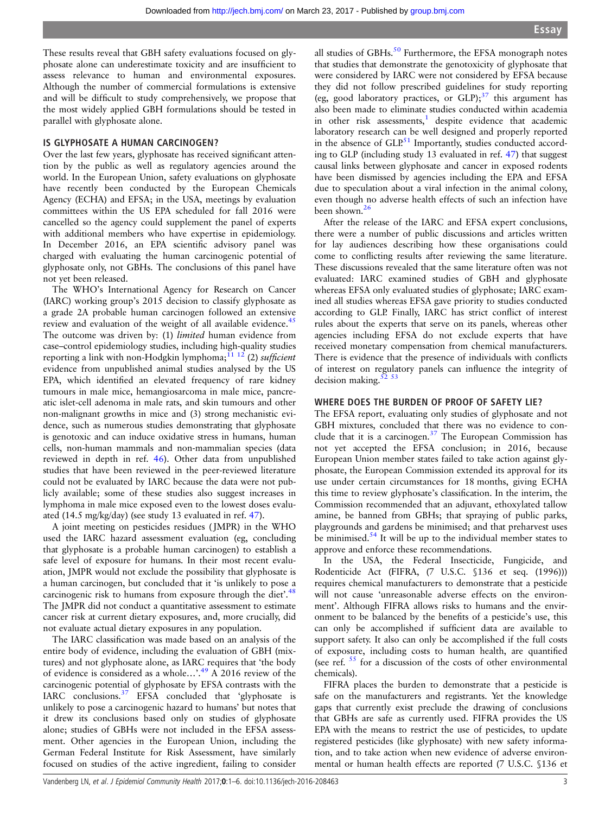These results reveal that GBH safety evaluations focused on glyphosate alone can underestimate toxicity and are insufficient to assess relevance to human and environmental exposures. Although the number of commercial formulations is extensive and will be difficult to study comprehensively, we propose that the most widely applied GBH formulations should be tested in parallel with glyphosate alone.

## IS GLYPHOSATE A HUMAN CARCINOGEN?

Over the last few years, glyphosate has received significant attention by the public as well as regulatory agencies around the world. In the European Union, safety evaluations on glyphosate have recently been conducted by the European Chemicals Agency (ECHA) and EFSA; in the USA, meetings by evaluation committees within the US EPA scheduled for fall 2016 were cancelled so the agency could supplement the panel of experts with additional members who have expertise in epidemiology. In December 2016, an EPA scientific advisory panel was charged with evaluating the human carcinogenic potential of glyphosate only, not GBHs. The conclusions of this panel have not yet been released.

The WHO's International Agency for Research on Cancer (IARC) working group's 2015 decision to classify glyphosate as a grade 2A probable human carcinogen followed an extensive review and evaluation of the weight of all available evidence.<sup>45</sup> The outcome was driven by: (1) limited human evidence from case–control epidemiology studies, including high-quality studies reporting a link with non-Hodgkin lymphoma;  $^{11}$   $^{12}$  (2) *sufficient* evidence from unpublished animal studies analysed by the US EPA, which identified an elevated frequency of rare kidney tumours in male mice, hemangiosarcoma in male mice, pancreatic islet-cell adenoma in male rats, and skin tumours and other non-malignant growths in mice and (3) strong mechanistic evidence, such as numerous studies demonstrating that glyphosate is genotoxic and can induce oxidative stress in humans, human cells, non-human mammals and non-mammalian species (data reviewed in depth in ref. [46\)](#page-4-0). Other data from unpublished studies that have been reviewed in the peer-reviewed literature could not be evaluated by IARC because the data were not publicly available; some of these studies also suggest increases in lymphoma in male mice exposed even to the lowest doses evaluated (14.5 mg/kg/day) (see study 13 evaluated in ref. [47\)](#page-4-0).

A joint meeting on pesticides residues ( JMPR) in the WHO used the IARC hazard assessment evaluation (eg, concluding that glyphosate is a probable human carcinogen) to establish a safe level of exposure for humans. In their most recent evaluation, JMPR would not exclude the possibility that glyphosate is a human carcinogen, but concluded that it 'is unlikely to pose a carcinogenic risk to humans from exposure through the diet'.<sup>[48](#page-4-0)</sup> The JMPR did not conduct a quantitative assessment to estimate cancer risk at current dietary exposures, and, more crucially, did not evaluate actual dietary exposures in any population.

The IARC classification was made based on an analysis of the entire body of evidence, including the evaluation of GBH (mixtures) and not glyphosate alone, as IARC requires that 'the body of evidence is considered as a whole...'.<sup>[49](#page-4-0)</sup> A 2016 review of the carcinogenic potential of glyphosate by EFSA contrasts with the IARC conclusions. $37$  EFSA concluded that 'glyphosate is unlikely to pose a carcinogenic hazard to humans' but notes that it drew its conclusions based only on studies of glyphosate alone; studies of GBHs were not included in the EFSA assessment. Other agencies in the European Union, including the German Federal Institute for Risk Assessment, have similarly focused on studies of the active ingredient, failing to consider

all studies of GBHs. $50$  Furthermore, the EFSA monograph notes that studies that demonstrate the genotoxicity of glyphosate that were considered by IARC were not considered by EFSA because they did not follow prescribed guidelines for study reporting (eg, good laboratory practices, or GLP); $37$  this argument has also been made to eliminate studies conducted within academia in other risk assessments, $1$  despite evidence that academic laboratory research can be well designed and properly reported in the absence of  $GLP<sup>51</sup>$  $GLP<sup>51</sup>$  $GLP<sup>51</sup>$  Importantly, studies conducted according to GLP (including study 13 evaluated in ref. [47\)](#page-4-0) that suggest causal links between glyphosate and cancer in exposed rodents have been dismissed by agencies including the EPA and EFSA due to speculation about a viral infection in the animal colony, even though no adverse health effects of such an infection have been shown[.26](#page-4-0)

After the release of the IARC and EFSA expert conclusions, there were a number of public discussions and articles written for lay audiences describing how these organisations could come to conflicting results after reviewing the same literature. These discussions revealed that the same literature often was not evaluated: IARC examined studies of GBH and glyphosate whereas EFSA only evaluated studies of glyphosate; IARC examined all studies whereas EFSA gave priority to studies conducted according to GLP. Finally, IARC has strict conflict of interest rules about the experts that serve on its panels, whereas other agencies including EFSA do not exclude experts that have received monetary compensation from chemical manufacturers. There is evidence that the presence of individuals with conflicts of interest on regulatory panels can influence the integrity of decision making. $\frac{5}{3}$ 

## WHERE DOES THE BURDEN OF PROOF OF SAFETY LIE?

The EFSA report, evaluating only studies of glyphosate and not GBH mixtures, concluded that there was no evidence to conclude that it is a carcinogen. $37$  The European Commission has not yet accepted the EFSA conclusion; in 2016, because European Union member states failed to take action against glyphosate, the European Commission extended its approval for its use under certain circumstances for 18 months, giving ECHA this time to review glyphosate's classification. In the interim, the Commission recommended that an adjuvant, ethoxylated tallow amine, be banned from GBHs; that spraying of public parks, playgrounds and gardens be minimised; and that preharvest uses be minimised.<sup>54</sup> It will be up to the individual member states to approve and enforce these recommendations.

In the USA, the Federal Insecticide, Fungicide, and Rodenticide Act (FIFRA, (7 U.S.C. §136 et seq. (1996))) requires chemical manufacturers to demonstrate that a pesticide will not cause 'unreasonable adverse effects on the environment'. Although FIFRA allows risks to humans and the environment to be balanced by the benefits of a pesticide's use, this can only be accomplished if sufficient data are available to support safety. It also can only be accomplished if the full costs of exposure, including costs to human health, are quantified (see ref.  $55$  for a discussion of the costs of other environmental chemicals).

FIFRA places the burden to demonstrate that a pesticide is safe on the manufacturers and registrants. Yet the knowledge gaps that currently exist preclude the drawing of conclusions that GBHs are safe as currently used. FIFRA provides the US EPA with the means to restrict the use of pesticides, to update registered pesticides (like glyphosate) with new safety information, and to take action when new evidence of adverse environmental or human health effects are reported (7 U.S.C. §136 et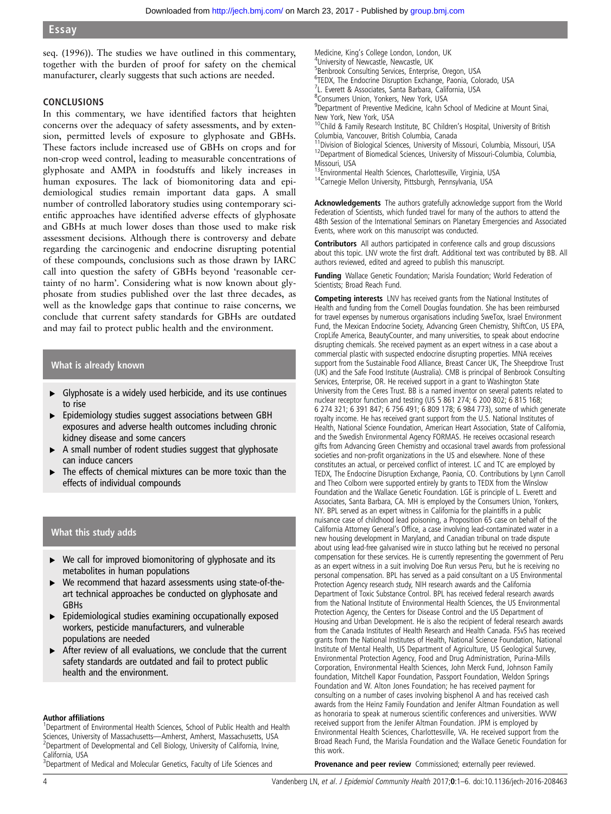seq. (1996)). The studies we have outlined in this commentary, together with the burden of proof for safety on the chemical manufacturer, clearly suggests that such actions are needed.

## **CONCLUSIONS**

In this commentary, we have identified factors that heighten concerns over the adequacy of safety assessments, and by extension, permitted levels of exposure to glyphosate and GBHs. These factors include increased use of GBHs on crops and for non-crop weed control, leading to measurable concentrations of glyphosate and AMPA in foodstuffs and likely increases in human exposures. The lack of biomonitoring data and epidemiological studies remain important data gaps. A small number of controlled laboratory studies using contemporary scientific approaches have identified adverse effects of glyphosate and GBHs at much lower doses than those used to make risk assessment decisions. Although there is controversy and debate regarding the carcinogenic and endocrine disrupting potential of these compounds, conclusions such as those drawn by IARC call into question the safety of GBHs beyond 'reasonable certainty of no harm'. Considering what is now known about glyphosate from studies published over the last three decades, as well as the knowledge gaps that continue to raise concerns, we conclude that current safety standards for GBHs are outdated and may fail to protect public health and the environment.

## What is already known

- ▸ Glyphosate is a widely used herbicide, and its use continues to rise
- ▸ Epidemiology studies suggest associations between GBH exposures and adverse health outcomes including chronic kidney disease and some cancers
- ▸ A small number of rodent studies suggest that glyphosate can induce cancers
- The effects of chemical mixtures can be more toxic than the effects of individual compounds

## What this study adds

- ▶ We call for improved biomonitoring of glyphosate and its metabolites in human populations
- ▸ We recommend that hazard assessments using state-of-theart technical approaches be conducted on glyphosate and GBHs
- ▸ Epidemiological studies examining occupationally exposed workers, pesticide manufacturers, and vulnerable populations are needed
- ▸ After review of all evaluations, we conclude that the current safety standards are outdated and fail to protect public health and the environment.

### Author affiliations <sup>1</sup>

<sup>1</sup>Department of Environmental Health Sciences, School of Public Health and Health Sciences, University of Massachusetts—Amherst, Amherst, Massachusetts, USA <sup>2</sup> <sup>2</sup>Department of Developmental and Cell Biology, University of California, Irvine, California, USA

<sup>3</sup>Department of Medical and Molecular Genetics, Faculty of Life Sciences and

Medicine, King's College London, London, UK <sup>4</sup> University of Newcastle, Newcastle, UK <sup>5</sup>Benbrook Consulting Services, Enterprise, Oregon, USA 6 TEDX, The Endocrine Disruption Exchange, Paonia, Colorado, USA 7 L. Everett & Associates, Santa Barbara, California, USA 8 Consumers Union, Yonkers, New York, USA <sup>9</sup>Department of Preventive Medicine, Icahn School of Medicine at Mount Sinai, New York, New York, USA 10Child & Family Research Institute, BC Children's Hospital, University of British

Columbia, Vancouver, British Columbia, Canada<br><sup>11</sup> Division of Biological Sciences, University of Missouri, Columbia, Missouri, USA

<sup>12</sup>Department of Biomedical Sciences, University of Missouri-Columbia, Columbia, Missouri, USA<br><sup>13</sup>Environmental Health Sciences, Charlottesville, Virginia, USA

<sup>14</sup>Carnegie Mellon University, Pittsburgh, Pennsylvania, USA

Acknowledgements The authors gratefully acknowledge support from the World Federation of Scientists, which funded travel for many of the authors to attend the 48th Session of the International Seminars on Planetary Emergencies and Associated Events, where work on this manuscript was conducted.

Contributors All authors participated in conference calls and group discussions about this topic. LNV wrote the first draft. Additional text was contributed by BB. All authors reviewed, edited and agreed to publish this manuscript.

Funding Wallace Genetic Foundation; Marisla Foundation; World Federation of Scientists; Broad Reach Fund.

Competing interests LNV has received grants from the National Institutes of Health and funding from the Cornell Douglas foundation. She has been reimbursed for travel expenses by numerous organisations including SweTox, Israel Environment Fund, the Mexican Endocrine Society, Advancing Green Chemistry, ShiftCon, US EPA, CropLife America, BeautyCounter, and many universities, to speak about endocrine disrupting chemicals. She received payment as an expert witness in a case about a commercial plastic with suspected endocrine disrupting properties. MNA receives support from the Sustainable Food Alliance, Breast Cancer UK, The Sheepdrove Trust (UK) and the Safe Food Institute (Australia). CMB is principal of Benbrook Consulting Services, Enterprise, OR. He received support in a grant to Washington State University from the Ceres Trust. BB is a named inventor on several patents related to nuclear receptor function and testing (US 5 861 274; 6 200 802; 6 815 168; 6 274 321; 6 391 847; 6 756 491; 6 809 178; 6 984 773), some of which generate royalty income. He has received grant support from the U.S. National Institutes of Health, National Science Foundation, American Heart Association, State of California, and the Swedish Environmental Agency FORMAS. He receives occasional research gifts from Advancing Green Chemistry and occasional travel awards from professional societies and non-profit organizations in the US and elsewhere. None of these constitutes an actual, or perceived conflict of interest. LC and TC are employed by TEDX, The Endocrine Disruption Exchange, Paonia, CO. Contributions by Lynn Carroll and Theo Colborn were supported entirely by grants to TEDX from the Winslow Foundation and the Wallace Genetic Foundation. LGE is principle of L. Everett and Associates, Santa Barbara, CA. MH is employed by the Consumers Union, Yonkers, NY. BPL served as an expert witness in California for the plaintiffs in a public nuisance case of childhood lead poisoning, a Proposition 65 case on behalf of the California Attorney General's Office, a case involving lead-contaminated water in a new housing development in Maryland, and Canadian tribunal on trade dispute about using lead-free galvanised wire in stucco lathing but he received no personal compensation for these services. He is currently representing the government of Peru as an expert witness in a suit involving Doe Run versus Peru, but he is receiving no personal compensation. BPL has served as a paid consultant on a US Environmental Protection Agency research study, NIH research awards and the California Department of Toxic Substance Control. BPL has received federal research awards from the National Institute of Environmental Health Sciences, the US Environmental Protection Agency, the Centers for Disease Control and the US Department of Housing and Urban Development. He is also the recipient of federal research awards from the Canada Institutes of Health Research and Health Canada. FSvS has received grants from the National Institutes of Health, National Science Foundation, National Institute of Mental Health, US Department of Agriculture, US Geological Survey, Environmental Protection Agency, Food and Drug Administration, Purina-Mills Corporation, Environmental Health Sciences, John Merck Fund, Johnson Family foundation, Mitchell Kapor Foundation, Passport Foundation, Weldon Springs Foundation and W. Alton Jones Foundation; he has received payment for consulting on a number of cases involving bisphenol A and has received cash awards from the Heinz Family Foundation and Jenifer Altman Foundation as well as honoraria to speak at numerous scientific conferences and universities. WVW received support from the Jenifer Altman Foundation. JPM is employed by Environmental Health Sciences, Charlottesville, VA. He received support from the Broad Reach Fund, the Marisla Foundation and the Wallace Genetic Foundation for this work.

Provenance and peer review Commissioned; externally peer reviewed.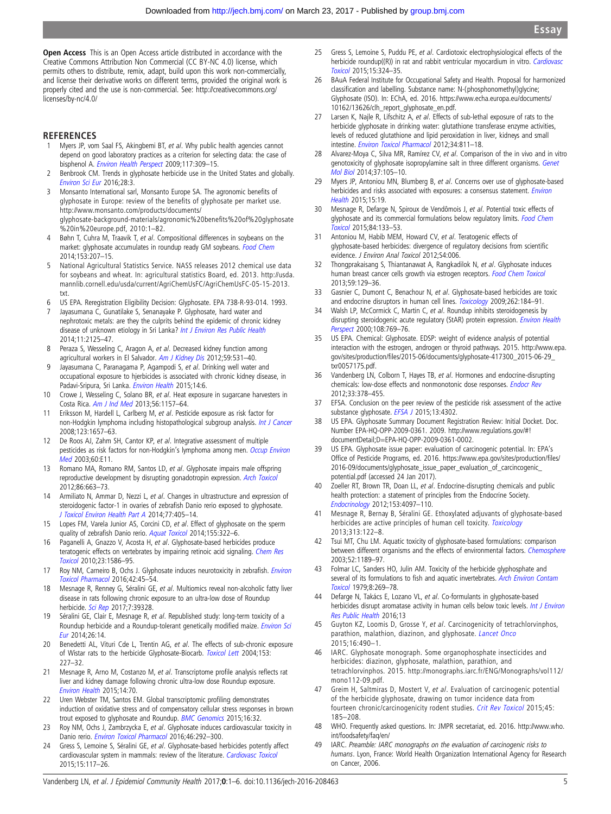<span id="page-4-0"></span>Open Access This is an Open Access article distributed in accordance with the Creative Commons Attribution Non Commercial (CC BY-NC 4.0) license, which permits others to distribute, remix, adapt, build upon this work non-commercially, and license their derivative works on different terms, provided the original work is properly cited and the use is non-commercial. See: [http://creativecommons.org/](http://creativecommons.org/licenses/by-nc/4.0/) [licenses/by-nc/4.0/](http://creativecommons.org/licenses/by-nc/4.0/)

## **REFERENCES**

- Myers JP, vom Saal FS, Akingbemi BT, et al. Why public health agencies cannot depend on good laboratory practices as a criterion for selecting data: the case of bisphenol A. [Environ Health Perspect](http://dx.doi.org/10.1289/ehp.0800173) 2009;117:309-15.
- 2 Benbrook CM. Trends in glyphosate herbicide use in the United States and globally. [Environ Sci Eur](http://dx.doi.org/10.1186/s12302-016-0070-0) 2016;28:3.
- 3 Monsanto International sarl, Monsanto Europe SA. The agronomic benefits of glyphosate in Europe: review of the benefits of glyphosate per market use. http://www.monsanto.com/products/documents/ glyphosate-background-materials/agronomic%20benefits%20of%20glyphosate %20in%20europe.pdf, 2010:1–82.
- 4 Bøhn T, Cuhra M, Traavik T, et al. Compositional differences in soybeans on the market: glyphosate accumulates in roundup ready GM soybeans. [Food Chem](http://dx.doi.org/10.1016/j.foodchem.2013.12.054) 2014;153:207–15.
- 5 National Agricultural Statistics Service. NASS releases 2012 chemical use data for soybeans and wheat. In: agricultural statistics Board, ed. 2013. [http://usda.](http://usda.mannlib.cornell.edu/usda/current/AgriChemUsFC/AgriChemUsFC-05-15-2013.txt) [mannlib.cornell.edu/usda/current/AgriChemUsFC/AgriChemUsFC-05-15-2013.](http://usda.mannlib.cornell.edu/usda/current/AgriChemUsFC/AgriChemUsFC-05-15-2013.txt) [txt.](http://usda.mannlib.cornell.edu/usda/current/AgriChemUsFC/AgriChemUsFC-05-15-2013.txt)
- 6 US EPA. Reregistration Eligibility Decision: Glyphosate. EPA 738-R-93-014. 1993.
- Jayasumana C, Gunatilake S, Senanayake P. Glyphosate, hard water and nephrotoxic metals: are they the culprits behind the epidemic of chronic kidney disease of unknown etiology in Sri Lanka? [Int J Environ Res Public Health](http://dx.doi.org/10.3390/ijerph110202125) 2014;11:2125–47.
- 8 Peraza S, Wesseling C, Aragon A, et al. Decreased kidney function among agricultural workers in El Salvador. [Am J Kidney Dis](http://dx.doi.org/10.1053/j.ajkd.2011.11.039) 2012;59:531-40.
- 9 Jayasumana C, Paranagama P, Agampodi S, et al. Drinking well water and occupational exposure to hjerbicides is associated with chronic kidney disease, in Padavi-Sripura, Sri Lanka. [Environ Health](http://dx.doi.org/10.1186/1476-069X-14-6) 2015;14:6.
- 10 Crowe J, Wesseling C, Solano BR, et al. Heat exposure in sugarcane harvesters in Costa Rica. [Am J Ind Med](http://dx.doi.org/10.1002/ajim.22204) 2013;56:1157–64.
- 11 Eriksson M, Hardell L, Carlberg M, et al. Pesticide exposure as risk factor for non-Hodgkin lymphoma including histopathological subgroup analysis. [Int J Cancer](http://dx.doi.org/10.1002/ijc.23589) 2008;123:1657–63.
- 12 De Roos AJ, Zahm SH, Cantor KP, et al. Integrative assessment of multiple pesticides as risk factors for non-Hodgkin's lymphoma among men. [Occup Environ](http://dx.doi.org/10.1136/oem.60.9.e11) [Med](http://dx.doi.org/10.1136/oem.60.9.e11) 2003;60:E11.
- 13 Romano MA, Romano RM, Santos LD, et al. Glyphosate impairs male offspring reproductive development by disrupting gonadotropin expression. [Arch Toxicol](http://dx.doi.org/10.1007/s00204-011-0788-9) 2012;86:663–73.
- Armiliato N, Ammar D, Nezzi L, et al. Changes in ultrastructure and expression of steroidogenic factor-1 in ovaries of zebrafish Danio rerio exposed to glyphosate. [J Toxicol Environ Health Part A](http://dx.doi.org/10.1080/15287394.2014.880393) 2014;77:405–14.
- 15 Lopes FM, Varela Junior AS, Corcini CD, et al. Effect of glyphosate on the sperm quality of zebrafish Danio rerio. [Aquat Toxicol](http://dx.doi.org/10.1016/j.aquatox.2014.07.006) 2014;155:322-6.
- 16 Paganelli A, Gnazzo V, Acosta H, et al. Glyphosate-based herbicides produce teratogenic effects on vertebrates by impairing retinoic acid signaling. [Chem Res](http://dx.doi.org/10.1021/tx1001749) [Toxicol](http://dx.doi.org/10.1021/tx1001749) 2010;23:1586–95.
- 17 Roy NM, Carneiro B, Ochs J. Glyphosate induces neurotoxicity in zebrafish. *[Environ](http://dx.doi.org/10.1016/j.etap.2016.01.003)* [Toxicol Pharmacol](http://dx.doi.org/10.1016/j.etap.2016.01.003) 2016;42:45–54.
- 18 Mesnage R, Renney G, Séralini GE, et al. Multiomics reveal non-alcoholic fatty liver disease in rats following chronic exposure to an ultra-low dose of Roundup herbicide. [Sci Rep](http://dx.doi.org/10.1038/srep39328) 2017;7:39328.
- 19 Séralini GE, Clair E, Mesnage R, et al. Republished study: long-term toxicity of a Roundup herbicide and a Roundup-tolerant genetically modified maize. [Environ Sci](http://dx.doi.org/10.1186/s12302-014-0014-5) [Eur](http://dx.doi.org/10.1186/s12302-014-0014-5) 2014;26:14.
- 20 Benedetti AL, Vituri Cde L, Trentin AG, et al. The effects of sub-chronic exposure of Wistar rats to the herbicide Glyphosate-Biocarb. [Toxicol Lett](http://dx.doi.org/10.1016/j.toxlet.2004.04.008) 2004;153: 227–32.
- 21 Mesnage R, Arno M, Costanzo M, et al. Transcriptome profile analysis reflects rat liver and kidney damage following chronic ultra-low dose Roundup exposure. [Environ Health](http://dx.doi.org/10.1186/s12940-015-0056-1) 2015;14:70.
- 22 Uren Webster TM, Santos EM. Global transcriptomic profiling demonstrates induction of oxidative stress and of compensatory cellular stress responses in brown trout exposed to glyphosate and Roundup. [BMC Genomics](http://dx.doi.org/10.1186/s12864-015-1254-5) 2015;16:32.
- 23 Roy NM, Ochs J, Zambrzycka E, et al. Glyphosate induces cardiovascular toxicity in Danio rerio. [Environ Toxicol Pharmacol](http://dx.doi.org/10.1016/j.etap.2016.08.010) 2016;46:292-300.
- 24 Gress S, Lemoine S, Séralini GE, et al. Glyphosate-based herbicides potently affect cardiovascular system in mammals: review of the literature. [Cardiovasc Toxicol](http://dx.doi.org/10.1007/s12012-014-9282-y) 2015;15:117–26.
- 25 Gress S, Lemoine S, Puddu PE, et al. Cardiotoxic electrophysiological effects of the herbicide roundup((R)) in rat and rabbit ventricular myocardium in vitro. [Cardiovasc](http://dx.doi.org/10.1007/s12012-014-9299-2) [Toxicol](http://dx.doi.org/10.1007/s12012-014-9299-2) 2015;15:324–35.
- 26 BAuA Federal Institute for Occupational Safety and Health. Proposal for harmonized classification and labelling. Substance name: N-(phosphonomethyl)glycine; Glyphosate (ISO). In: EChA, ed. 2016. [https://www.echa.europa.eu/documents/](https://www.echa.europa.eu/documents/10162/13626/clh_report_glyphosate_en.pdf) [10162/13626/clh\\_report\\_glyphosate\\_en.pdf](https://www.echa.europa.eu/documents/10162/13626/clh_report_glyphosate_en.pdf).
- 27 Larsen K, Najle R, Lifschitz A, et al. Effects of sub-lethal exposure of rats to the herbicide glyphosate in drinking water: glutathione transferase enzyme activities, levels of reduced glutathione and lipid peroxidation in liver, kidneys and small intestine. [Environ Toxicol Pharmacol](http://dx.doi.org/10.1016/j.etap.2012.09.005) 2012;34:811–18.
- 28 Alvarez-Moya C, Silva MR, Ramírez CV, et al. Comparison of the in vivo and in vitro genotoxicity of glyphosate isopropylamine salt in three different organisms. [Genet](http://dx.doi.org/10.1590/S1415-47572014000100016) [Mol Biol](http://dx.doi.org/10.1590/S1415-47572014000100016) 2014;37:105–10.
- 29 Myers JP, Antoniou MN, Blumberg B, et al. Concerns over use of glyphosate-based herbicides and risks associated with exposures: a consensus statement. *[Environ](http://dx.doi.org/10.1186/s12940-016-0117-0)* [Health](http://dx.doi.org/10.1186/s12940-016-0117-0) 2015;15:19.
- 30 Mesnage R, Defarge N, Spiroux de Vendômois J, et al. Potential toxic effects of glyphosate and its commercial formulations below regulatory limits. [Food Chem](http://dx.doi.org/10.1016/j.fct.2015.08.012) [Toxicol](http://dx.doi.org/10.1016/j.fct.2015.08.012) 2015;84:133–53.
- 31 Antoniou M, Habib MEM, Howard CV, et al. Teratogenic effects of glyphosate-based herbicides: divergence of regulatory decisions from scientific evidence. J Environ Anal Toxicol 2012;S4:006.
- 32 Thongprakaisang S, Thiantanawat A, Rangkadilok N, et al. Glyphosate induces human breast cancer cells growth via estrogen receptors. [Food Chem Toxicol](http://dx.doi.org/10.1016/j.fct.2013.05.057) 2013;59:129–36.
- 33 Gasnier C, Dumont C, Benachour N, et al. Glyphosate-based herbicides are toxic and endocrine disruptors in human cell lines. [Toxicology](http://dx.doi.org/10.1016/j.tox.2009.06.006) 2009;262:184-91.
- 34 Walsh LP, McCormick C, Martin C, et al. Roundup inhibits steroidogenesis by disrupting steroidogenic acute regulatory (StAR) protein expression. *[Environ Health](http://dx.doi.org/10.1289/ehp.00108769)* [Perspect](http://dx.doi.org/10.1289/ehp.00108769) 2000;108:769-76.
- 35 US EPA. Chemical: Glyphosate. EDSP: weight of evidence analysis of potential interaction with the estrogen, androgen or thyroid pathways. 2015. [http://www.epa.](http://www.epa.gov/sites/production/files/2015-06/documents/glyphosate-417300_2015-06-29_txr0057175.pdf) [gov/sites/production/](http://www.epa.gov/sites/production/files/2015-06/documents/glyphosate-417300_2015-06-29_txr0057175.pdf)fi[les/2015-06/documents/glyphosate-417300\\_2015-06-29\\_](http://www.epa.gov/sites/production/files/2015-06/documents/glyphosate-417300_2015-06-29_txr0057175.pdf) [txr0057175.pdf.](http://www.epa.gov/sites/production/files/2015-06/documents/glyphosate-417300_2015-06-29_txr0057175.pdf)
- 36 Vandenberg LN, Colborn T, Hayes TB, et al. Hormones and endocrine-disrupting chemicals: low-dose effects and nonmonotonic dose responses. [Endocr Rev](http://dx.doi.org/10.1210/er.2011-1050) 2012;33:378–455.
- 37 EFSA. Conclusion on the peer review of the pesticide risk assessment of the active substance glyphosate. [EFSA J](http://dx.doi.org/10.2903/j.efsa.2015.4302) 2015;13:4302.
- 38 US EPA. Glyphosate Summary Document Registration Review: Initial Docket. Doc. Number EPA-HQ-OPP-2009-0361. 2009. [http://www.regulations.gov/#!](http://www.regulations.gov/#!documentDetail;D=EPA-HQ-OPP-2009-0361-0002) [documentDetail;D=EPA-HQ-OPP-2009-0361-0002](http://www.regulations.gov/#!documentDetail;D=EPA-HQ-OPP-2009-0361-0002).
- 39 US EPA. Glyphosate issue paper: evaluation of carcinogenic potential. In: EPA's Office of Pesticide Programs, ed. 2016. [https://www.epa.gov/sites/production/](https://www.epa.gov/sites/production/files/2016-09/documents/glyphosate_issue_paper_evaluation_of_carcincogenic_potential.pdf)files/ [2016-09/documents/glyphosate\\_issue\\_paper\\_evaluation\\_of\\_carcincogenic\\_](https://www.epa.gov/sites/production/files/2016-09/documents/glyphosate_issue_paper_evaluation_of_carcincogenic_potential.pdf) [potential.pdf](https://www.epa.gov/sites/production/files/2016-09/documents/glyphosate_issue_paper_evaluation_of_carcincogenic_potential.pdf) (accessed 24 Jan 2017).
- 40 Zoeller RT, Brown TR, Doan LL, et al. Endocrine-disrupting chemicals and public health protection: a statement of principles from the Endocrine Society. [Endocrinology](http://dx.doi.org/10.1210/en.2012-1422) 2012;153:4097–110.
- 41 Mesnage R, Bernay B, Séralini GE. Ethoxylated adjuvants of glyphosate-based herbicides are active principles of human cell toxicity. [Toxicology](http://dx.doi.org/10.1016/j.tox.2012.09.006) 2013;313:122–8.
- 42 Tsui MT, Chu LM. Aquatic toxicity of glyphosate-based formulations: comparison between different organisms and the effects of environmental factors. [Chemosphere](http://dx.doi.org/10.1016/S0045-6535(03)00306-0) 2003;52:1189–97.
- Folmar LC, Sanders HO, Julin AM. Toxicity of the herbicide glyphosphate and several of its formulations to fish and aquatic invertebrates. [Arch Environ Contam](http://dx.doi.org/10.1007/BF01056243) [Toxicol](http://dx.doi.org/10.1007/BF01056243) 1979;8:269–78.
- 44 Defarge N, Takács E, Lozano VL, et al. Co-formulants in glyphosate-based herbicides disrupt aromatase activity in human cells below toxic levels. [Int J Environ](http://dx.doi.org/10.3390/ijerph13030264) [Res Public Health](http://dx.doi.org/10.3390/ijerph13030264) 2016;13
- 45 Guyton KZ, Loomis D, Grosse Y, et al. Carcinogenicity of tetrachlorvinphos, parathion, malathion, diazinon, and glyphosate. [Lancet Onco](http://dx.doi.org/10.1016/S1470-2045(15)70134-8) 2015;16:490–1.
- 46 IARC. Glyphosate monograph. Some organophosphate insecticides and herbicides: diazinon, glyphosate, malathion, parathion, and tetrachlorvinphos. 2015. [http://monographs.iarc.fr/ENG/Monographs/vol112/](http://monographs.iarc.fr/ENG/Monographs/vol112/mono112-09.pdf) [mono112-09.pdf.](http://monographs.iarc.fr/ENG/Monographs/vol112/mono112-09.pdf)
- Greim H, Saltmiras D, Mostert V, et al. Evaluation of carcinogenic potential of the herbicide glyphosate, drawing on tumor incidence data from fourteen chronic/carcinogenicity rodent studies. [Crit Rev Toxicol](http://dx.doi.org/10.3109/10408444.2014.1003423) 2015;45: 185–208.
- 48 WHO. Frequently asked questions. In: JMPR secretariat, ed. 2016. [http://www.who.](http://www.who.int/foodsafety/faq/en/) [int/foodsafety/faq/en/](http://www.who.int/foodsafety/faq/en/)
- 49 IARC. Preamble: IARC monographs on the evaluation of carcinogenic risks to humans. Lyon, France: World Health Organization International Agency for Research on Cancer, 2006.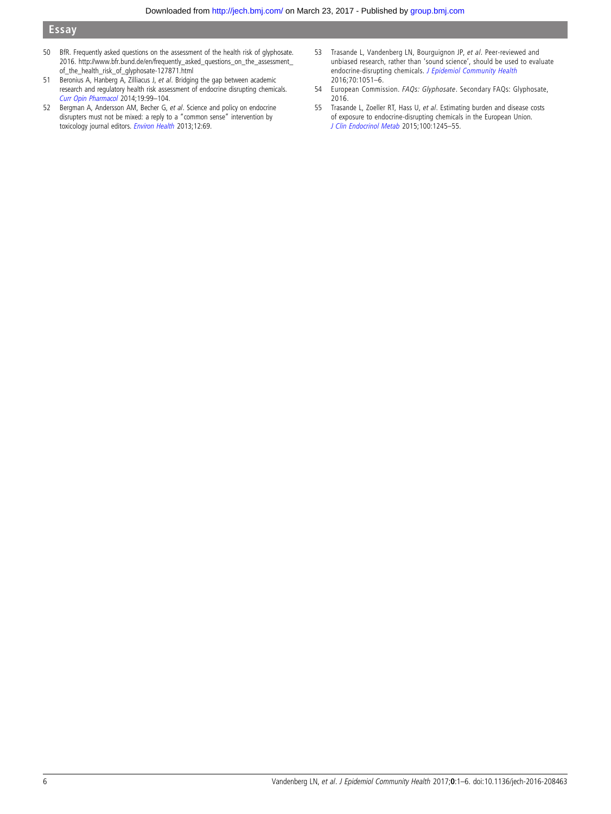- <span id="page-5-0"></span>50 BfR. Frequently asked questions on the assessment of the health risk of glyphosate. 2016. [http://www.bfr.bund.de/en/frequently\\_asked\\_questions\\_on\\_the\\_assessment\\_](http://www.bfr.bund.de/en/frequently_asked_questions_on_the_assessment_of_the_health_risk_of_glyphosate-127871.html) [of\\_the\\_health\\_risk\\_of\\_glyphosate-127871.html](http://www.bfr.bund.de/en/frequently_asked_questions_on_the_assessment_of_the_health_risk_of_glyphosate-127871.html)
- 51 Beronius A, Hanberg A, Zilliacus J, et al. Bridging the gap between academic research and regulatory health risk assessment of endocrine disrupting chemicals. [Curr Opin Pharmacol](http://dx.doi.org/10.1016/j.coph.2014.08.005) 2014;19:99–104.
- 52 Bergman A, Andersson AM, Becher G, et al. Science and policy on endocrine disrupters must not be mixed: a reply to a "common sense" intervention by toxicology journal editors. [Environ Health](http://dx.doi.org/10.1186/1476-069X-12-69) 2013;12:69.
- 53 Trasande L, Vandenberg LN, Bourguignon JP, et al. Peer-reviewed and unbiased research, rather than 'sound science', should be used to evaluate endocrine-disrupting chemicals. [J Epidemiol Community Health](http://dx.doi.org/10.1136/jech-2016-207841) 2016;70:1051–6.
- 54 European Commission. FAQs: Glyphosate. Secondary FAQs: Glyphosate, 2016.
- 55 Trasande L, Zoeller RT, Hass U, et al. Estimating burden and disease costs of exposure to endocrine-disrupting chemicals in the European Union. [J Clin Endocrinol Metab](http://dx.doi.org/10.1210/jc.2014-4324) 2015;100:1245–55.